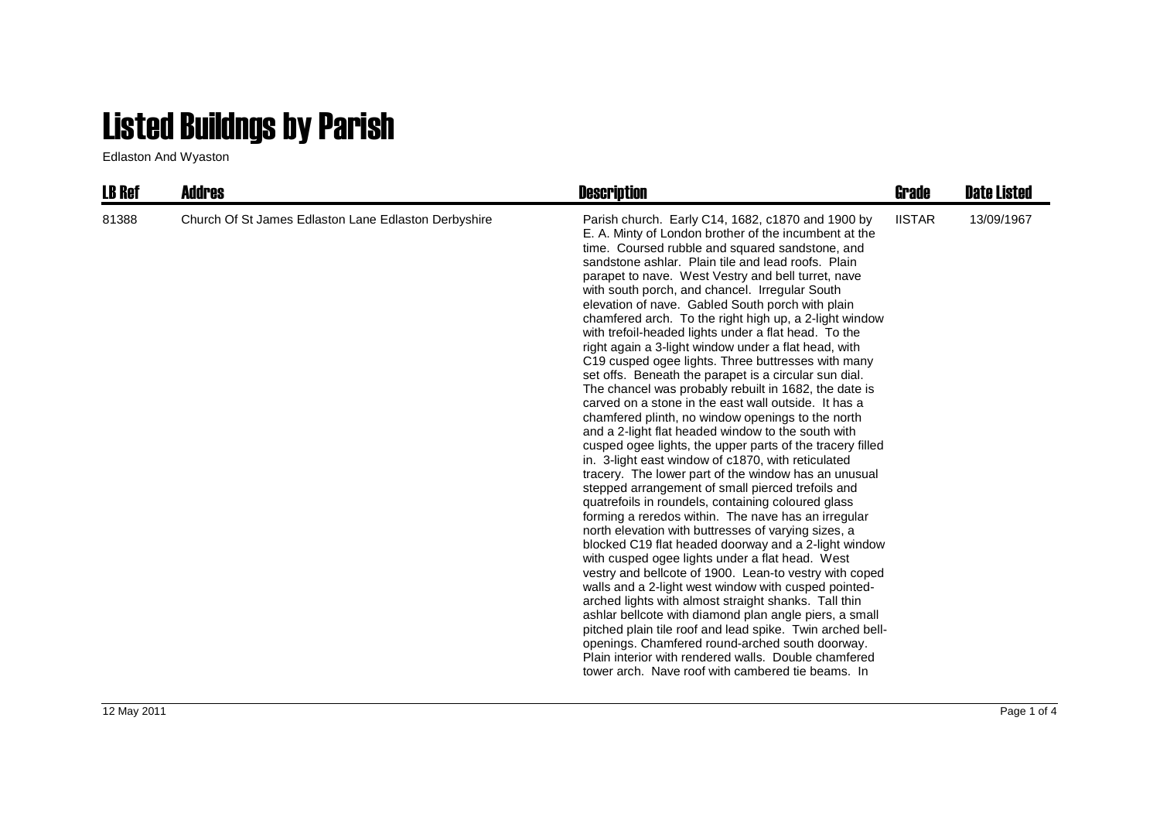## Listed Buildngs by Parish

Edlaston And Wyaston

| <b>LB Ref</b> | Addres                                               | <b>Description</b>                                                                                                                                                                                                                                                                                                                                                                                                                                                                                                                                                                                                                                                                                                                                                                                                                                                                                                                                                                                                                                                                                                                                                                                                                                                                                                                                                                                                                                                                                                                                                                                                                                                                                                                                                                                                                                                                   | Grade         | <b>Date Listed</b> |
|---------------|------------------------------------------------------|--------------------------------------------------------------------------------------------------------------------------------------------------------------------------------------------------------------------------------------------------------------------------------------------------------------------------------------------------------------------------------------------------------------------------------------------------------------------------------------------------------------------------------------------------------------------------------------------------------------------------------------------------------------------------------------------------------------------------------------------------------------------------------------------------------------------------------------------------------------------------------------------------------------------------------------------------------------------------------------------------------------------------------------------------------------------------------------------------------------------------------------------------------------------------------------------------------------------------------------------------------------------------------------------------------------------------------------------------------------------------------------------------------------------------------------------------------------------------------------------------------------------------------------------------------------------------------------------------------------------------------------------------------------------------------------------------------------------------------------------------------------------------------------------------------------------------------------------------------------------------------------|---------------|--------------------|
| 81388         | Church Of St James Edlaston Lane Edlaston Derbyshire | Parish church. Early C14, 1682, c1870 and 1900 by<br>E. A. Minty of London brother of the incumbent at the<br>time. Coursed rubble and squared sandstone, and<br>sandstone ashlar. Plain tile and lead roofs. Plain<br>parapet to nave. West Vestry and bell turret, nave<br>with south porch, and chancel. Irregular South<br>elevation of nave. Gabled South porch with plain<br>chamfered arch. To the right high up, a 2-light window<br>with trefoil-headed lights under a flat head. To the<br>right again a 3-light window under a flat head, with<br>C19 cusped ogee lights. Three buttresses with many<br>set offs. Beneath the parapet is a circular sun dial.<br>The chancel was probably rebuilt in 1682, the date is<br>carved on a stone in the east wall outside. It has a<br>chamfered plinth, no window openings to the north<br>and a 2-light flat headed window to the south with<br>cusped ogee lights, the upper parts of the tracery filled<br>in. 3-light east window of c1870, with reticulated<br>tracery. The lower part of the window has an unusual<br>stepped arrangement of small pierced trefoils and<br>quatrefoils in roundels, containing coloured glass<br>forming a reredos within. The nave has an irregular<br>north elevation with buttresses of varying sizes, a<br>blocked C19 flat headed doorway and a 2-light window<br>with cusped ogee lights under a flat head. West<br>vestry and bellcote of 1900. Lean-to vestry with coped<br>walls and a 2-light west window with cusped pointed-<br>arched lights with almost straight shanks. Tall thin<br>ashlar bellcote with diamond plan angle piers, a small<br>pitched plain tile roof and lead spike. Twin arched bell-<br>openings. Chamfered round-arched south doorway.<br>Plain interior with rendered walls. Double chamfered<br>tower arch. Nave roof with cambered tie beams. In | <b>IISTAR</b> | 13/09/1967         |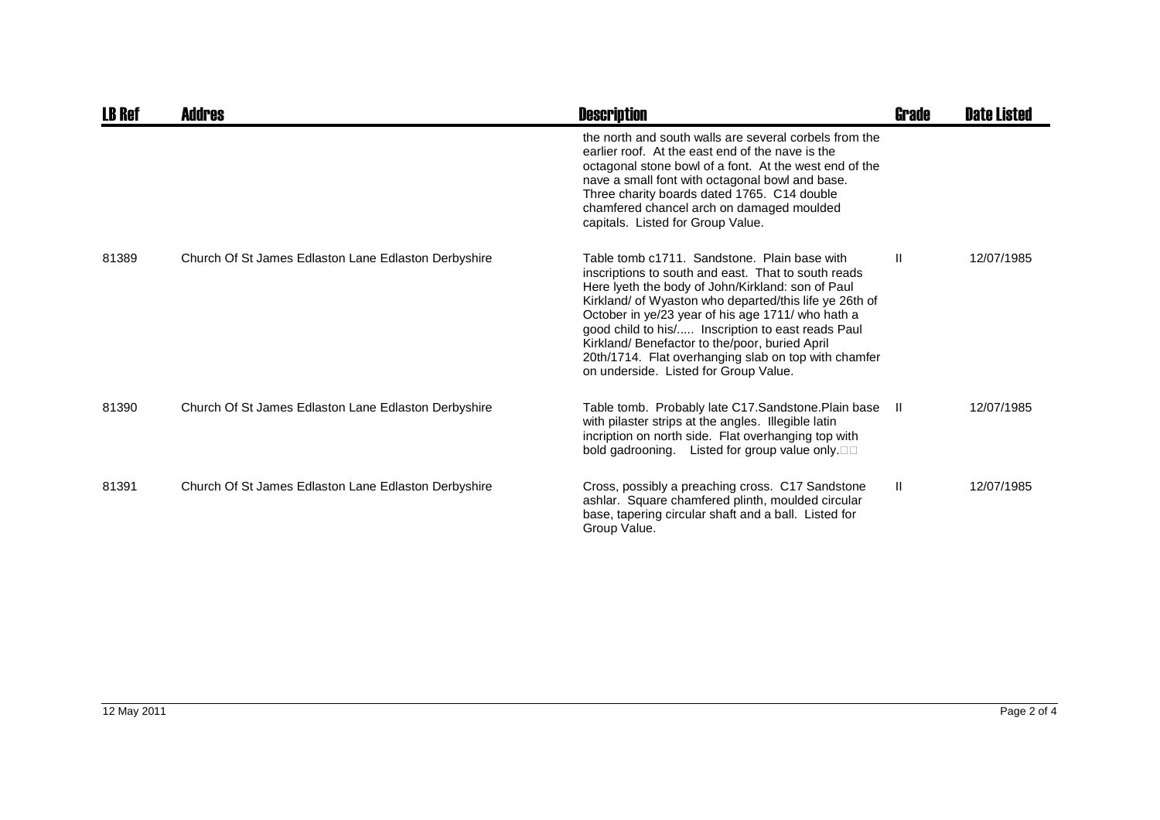| <b>LB Ref</b> | Addres                                               | <b>Description</b>                                                                                                                                                                                                                                                                                                                                                                                                                                                             | Grade         | <b>Date Listed</b> |
|---------------|------------------------------------------------------|--------------------------------------------------------------------------------------------------------------------------------------------------------------------------------------------------------------------------------------------------------------------------------------------------------------------------------------------------------------------------------------------------------------------------------------------------------------------------------|---------------|--------------------|
|               |                                                      | the north and south walls are several corbels from the<br>earlier roof. At the east end of the nave is the<br>octagonal stone bowl of a font. At the west end of the<br>nave a small font with octagonal bowl and base.<br>Three charity boards dated 1765. C14 double<br>chamfered chancel arch on damaged moulded<br>capitals. Listed for Group Value.                                                                                                                       |               |                    |
| 81389         | Church Of St James Edlaston Lane Edlaston Derbyshire | Table tomb c1711. Sandstone. Plain base with<br>inscriptions to south and east. That to south reads<br>Here Iveth the body of John/Kirkland: son of Paul<br>Kirkland/ of Wyaston who departed/this life ye 26th of<br>October in ye/23 year of his age 1711/ who hath a<br>good child to his/ Inscription to east reads Paul<br>Kirkland/Benefactor to the/poor, buried April<br>20th/1714. Flat overhanging slab on top with chamfer<br>on underside. Listed for Group Value. | $\mathbf{H}$  | 12/07/1985         |
| 81390         | Church Of St James Edlaston Lane Edlaston Derbyshire | Table tomb. Probably late C17. Sandstone. Plain base<br>with pilaster strips at the angles. Illegible latin<br>incription on north side. Flat overhanging top with<br>bold gadrooning. Listed for group value only.                                                                                                                                                                                                                                                            | - II          | 12/07/1985         |
| 81391         | Church Of St James Edlaston Lane Edlaston Derbyshire | Cross, possibly a preaching cross. C17 Sandstone<br>ashlar. Square chamfered plinth, moulded circular<br>base, tapering circular shaft and a ball. Listed for<br>Group Value.                                                                                                                                                                                                                                                                                                  | $\mathbf{II}$ | 12/07/1985         |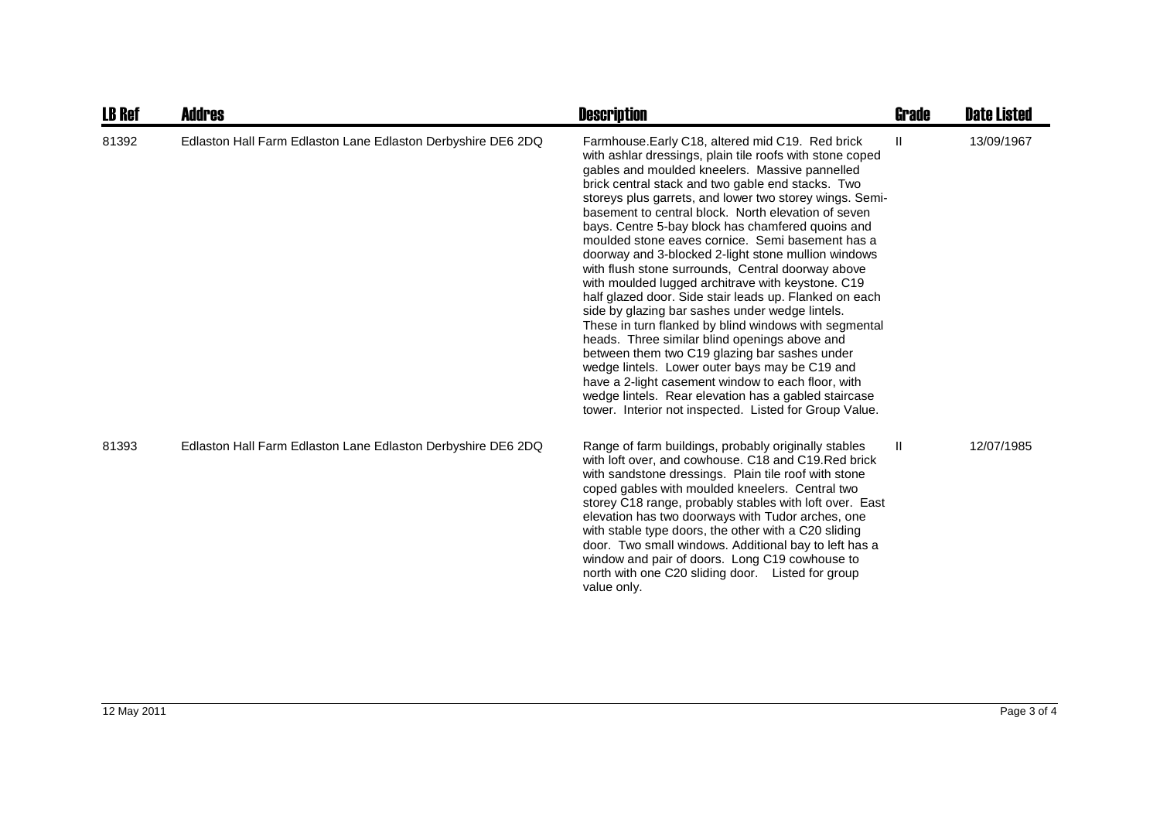| <b>LB Ref</b> | Addres                                                       | <b>Description</b>                                                                                                                                                                                                                                                                                                                                                                                                                                                                                                                                                                                                                                                                                                                                                                                                                                                                                                                                                                                                                                                                                               | <b>Grade</b> | <b>Date Listed</b> |
|---------------|--------------------------------------------------------------|------------------------------------------------------------------------------------------------------------------------------------------------------------------------------------------------------------------------------------------------------------------------------------------------------------------------------------------------------------------------------------------------------------------------------------------------------------------------------------------------------------------------------------------------------------------------------------------------------------------------------------------------------------------------------------------------------------------------------------------------------------------------------------------------------------------------------------------------------------------------------------------------------------------------------------------------------------------------------------------------------------------------------------------------------------------------------------------------------------------|--------------|--------------------|
| 81392         | Edlaston Hall Farm Edlaston Lane Edlaston Derbyshire DE6 2DQ | Farmhouse.Early C18, altered mid C19. Red brick<br>with ashlar dressings, plain tile roofs with stone coped<br>gables and moulded kneelers. Massive pannelled<br>brick central stack and two gable end stacks. Two<br>storeys plus garrets, and lower two storey wings. Semi-<br>basement to central block. North elevation of seven<br>bays. Centre 5-bay block has chamfered quoins and<br>moulded stone eaves cornice. Semi basement has a<br>doorway and 3-blocked 2-light stone mullion windows<br>with flush stone surrounds, Central doorway above<br>with moulded lugged architrave with keystone. C19<br>half glazed door. Side stair leads up. Flanked on each<br>side by glazing bar sashes under wedge lintels.<br>These in turn flanked by blind windows with segmental<br>heads. Three similar blind openings above and<br>between them two C19 glazing bar sashes under<br>wedge lintels. Lower outer bays may be C19 and<br>have a 2-light casement window to each floor, with<br>wedge lintels. Rear elevation has a gabled staircase<br>tower. Interior not inspected. Listed for Group Value. | Ш.           | 13/09/1967         |
| 81393         | Edlaston Hall Farm Edlaston Lane Edlaston Derbyshire DE6 2DQ | Range of farm buildings, probably originally stables<br>with loft over, and cowhouse. C18 and C19. Red brick<br>with sandstone dressings. Plain tile roof with stone<br>coped gables with moulded kneelers. Central two<br>storey C18 range, probably stables with loft over. East<br>elevation has two doorways with Tudor arches, one<br>with stable type doors, the other with a C20 sliding<br>door. Two small windows. Additional bay to left has a<br>window and pair of doors. Long C19 cowhouse to<br>north with one C20 sliding door. Listed for group<br>value only.                                                                                                                                                                                                                                                                                                                                                                                                                                                                                                                                   | Ш            | 12/07/1985         |